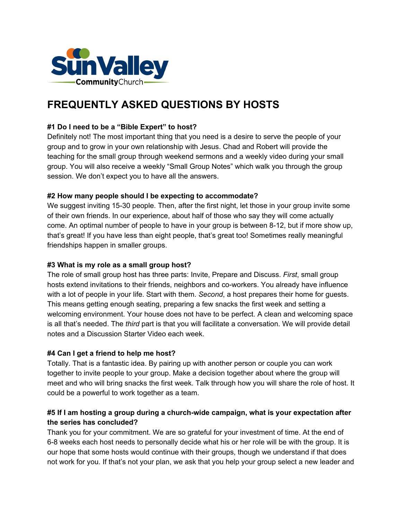

# **FREQUENTLY ASKED QUESTIONS BY HOSTS**

## **#1 Do I need to be a "Bible Expert" to host?**

Definitely not! The most important thing that you need is a desire to serve the people of your group and to grow in your own relationship with Jesus. Chad and Robert will provide the teaching for the small group through weekend sermons and a weekly video during your small group. You will also receive a weekly "Small Group Notes" which walk you through the group session. We don't expect you to have all the answers.

#### **#2 How many people should I be expecting to accommodate?**

We suggest inviting 15-30 people. Then, after the first night, let those in your group invite some of their own friends. In our experience, about half of those who say they will come actually come. An optimal number of people to have in your group is between 8-12, but if more show up, that's great! If you have less than eight people, that's great too! Sometimes really meaningful friendships happen in smaller groups.

#### **#3 What is my role as a small group host?**

The role of small group host has three parts: Invite, Prepare and Discuss. *First*, small group hosts extend invitations to their friends, neighbors and co-workers. You already have influence with a lot of people in your life. Start with them. *Second*, a host prepares their home for guests. This means getting enough seating, preparing a few snacks the first week and setting a welcoming environment. Your house does not have to be perfect. A clean and welcoming space is all that's needed. The *third* part is that you will facilitate a conversation. We will provide detail notes and a Discussion Starter Video each week.

#### **#4 Can I get a friend to help me host?**

Totally. That is a fantastic idea. By pairing up with another person or couple you can work together to invite people to your group. Make a decision together about where the group will meet and who will bring snacks the first week. Talk through how you will share the role of host. It could be a powerful to work together as a team.

## **#5 If I am hosting a group during a church-wide campaign, what is your expectation after the series has concluded?**

Thank you for your commitment. We are so grateful for your investment of time. At the end of 6-8 weeks each host needs to personally decide what his or her role will be with the group. It is our hope that some hosts would continue with their groups, though we understand if that does not work for you. If that's not your plan, we ask that you help your group select a new leader and